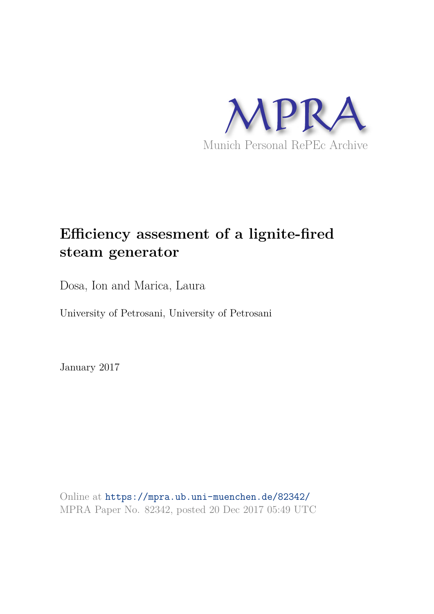

# **Efficiency assesment of a lignite-fired steam generator**

Dosa, Ion and Marica, Laura

University of Petrosani, University of Petrosani

January 2017

Online at https://mpra.ub.uni-muenchen.de/82342/ MPRA Paper No. 82342, posted 20 Dec 2017 05:49 UTC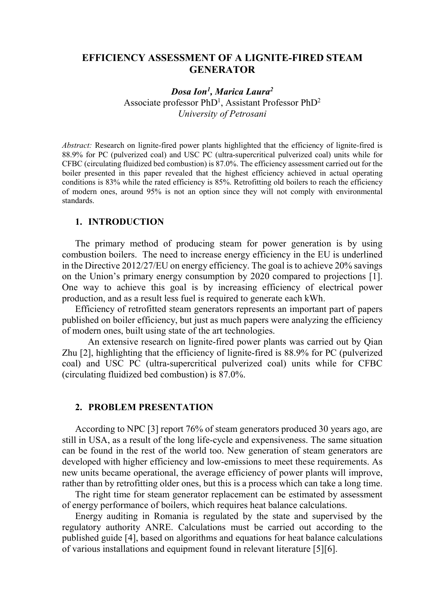# **EFFICIENCY ASSESSMENT OF A LIGNITE-FIRED STEAM GENERATOR**

# *Dosa Ion<sup>1</sup> , Marica Laura<sup>2</sup>*

Associate professor PhD<sup>1</sup>, Assistant Professor PhD<sup>2</sup> *University of Petrosani* 

*Abstract:* Research on lignite-fired power plants highlighted that the efficiency of lignite-fired is 88.9% for PC (pulverized coal) and USC PC (ultra-supercritical pulverized coal) units while for CFBC (circulating fluidized bed combustion) is 87.0%. The efficiency assessment carried out for the boiler presented in this paper revealed that the highest efficiency achieved in actual operating conditions is 83% while the rated efficiency is 85%. Retrofitting old boilers to reach the efficiency of modern ones, around 95% is not an option since they will not comply with environmental standards.

#### **1. INTRODUCTION**

The primary method of producing steam for power generation is by using combustion boilers. The need to increase energy efficiency in the EU is underlined in the Directive 2012/27/EU on energy efficiency. The goal is to achieve 20% savings on the Union's primary energy consumption by 2020 compared to projections [1]. One way to achieve this goal is by increasing efficiency of electrical power production, and as a result less fuel is required to generate each kWh.

Efficiency of retrofitted steam generators represents an important part of papers published on boiler efficiency, but just as much papers were analyzing the efficiency of modern ones, built using state of the art technologies.

An extensive research on lignite-fired power plants was carried out by Qian Zhu [2], highlighting that the efficiency of lignite-fired is 88.9% for PC (pulverized coal) and USC PC (ultra-supercritical pulverized coal) units while for CFBC (circulating fluidized bed combustion) is 87.0%.

#### **2. PROBLEM PRESENTATION**

According to NPC [3] report 76% of steam generators produced 30 years ago, are still in USA, as a result of the long life-cycle and expensiveness. The same situation can be found in the rest of the world too. New generation of steam generators are developed with higher efficiency and low-emissions to meet these requirements. As new units became operational, the average efficiency of power plants will improve, rather than by retrofitting older ones, but this is a process which can take a long time.

The right time for steam generator replacement can be estimated by assessment of energy performance of boilers, which requires heat balance calculations.

Energy auditing in Romania is regulated by the state and supervised by the regulatory authority ANRE. Calculations must be carried out according to the published guide [4], based on algorithms and equations for heat balance calculations of various installations and equipment found in relevant literature [5][6].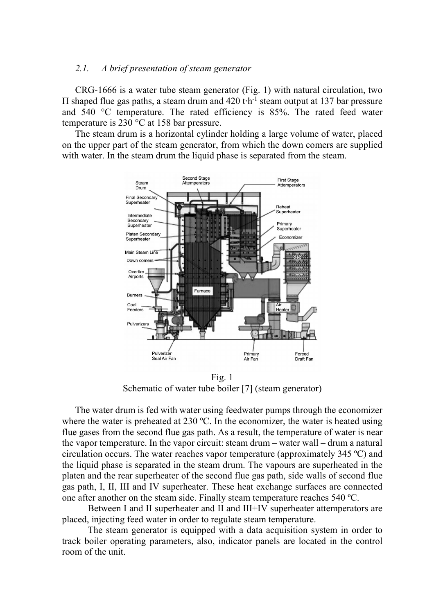#### *2.1. A brief presentation of steam generator*

CRG-1666 is a water tube steam generator (Fig. 1) with natural circulation, two  $\Pi$  shaped flue gas paths, a steam drum and 420 t $\cdot$ h<sup>-1</sup> steam output at 137 bar pressure and 540 °C temperature. The rated efficiency is 85%. The rated feed water temperature is 230 °C at 158 bar pressure.

The steam drum is a horizontal cylinder holding a large volume of water, placed on the upper part of the steam generator, from which the down comers are supplied with water. In the steam drum the liquid phase is separated from the steam.



Fig. 1 Schematic of water tube boiler [7] (steam generator)

The water drum is fed with water using feedwater pumps through the economizer where the water is preheated at 230 °C. In the economizer, the water is heated using flue gases from the second flue gas path. As a result, the temperature of water is near the vapor temperature. In the vapor circuit: steam drum  $-$  water wall  $-$  drum a natural circulation occurs. The water reaches vapor temperature (approximately 345 ºC) and the liquid phase is separated in the steam drum. The vapours are superheated in the platen and the rear superheater of the second flue gas path, side walls of second flue gas path, I, II, III and IV superheater. These heat exchange surfaces are connected one after another on the steam side. Finally steam temperature reaches 540 ºC.

Between I and II superheater and II and III+IV superheater attemperators are placed, injecting feed water in order to regulate steam temperature.

The steam generator is equipped with a data acquisition system in order to track boiler operating parameters, also, indicator panels are located in the control room of the unit.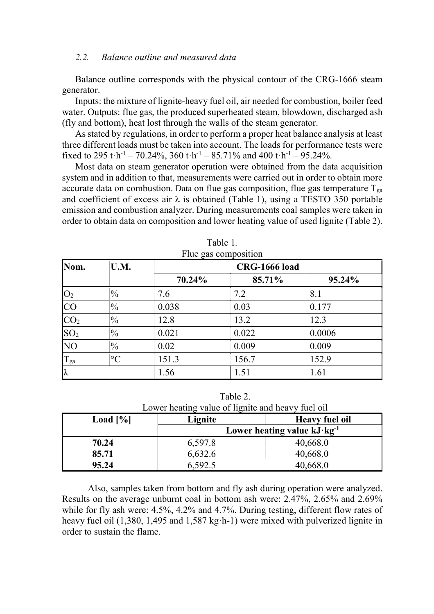#### *2.2. Balance outline and measured data*

Balance outline corresponds with the physical contour of the CRG-1666 steam generator.

Inputs: the mixture of lignite-heavy fuel oil, air needed for combustion, boiler feed water. Outputs: flue gas, the produced superheated steam, blowdown, discharged ash (fly and bottom), heat lost through the walls of the steam generator.

As stated by regulations, in order to perform a proper heat balance analysis at least three different loads must be taken into account. The loads for performance tests were fixed to 295 t $\cdot$ h<sup>-1</sup> – 70.24%, 360 t $\cdot$ h<sup>-1</sup> – 85.71% and 400 t $\cdot$ h<sup>-1</sup> – 95.24%.

Most data on steam generator operation were obtained from the data acquisition system and in addition to that, measurements were carried out in order to obtain more accurate data on combustion. Data on flue gas composition, flue gas temperature  $T_{ga}$ and coefficient of excess air  $\lambda$  is obtained (Table 1), using a TESTO 350 portable emission and combustion analyzer. During measurements coal samples were taken in order to obtain data on composition and lower heating value of used lignite (Table 2).

| Nom.            | U.M.            |        | <b>CRG-1666 load</b> |        |  |
|-----------------|-----------------|--------|----------------------|--------|--|
|                 |                 | 70.24% | 85.71%               | 95.24% |  |
| $ O_2 $         | $\frac{10}{6}$  | 7.6    | 7.2                  | 8.1    |  |
| <b>CO</b>       | $\frac{0}{0}$   | 0.038  | 0.03                 | 0.177  |  |
| CO <sub>2</sub> | $\frac{10}{6}$  | 12.8   | 13.2                 | 12.3   |  |
| SO <sub>2</sub> | $\frac{0}{0}$   | 0.021  | 0.022                | 0.0006 |  |
| N <sub>O</sub>  | $\frac{1}{2}$   | 0.02   | 0.009                | 0.009  |  |
| $T_{\rm ga}$    | $\rm ^{\circ}C$ | 151.3  | 156.7                | 152.9  |  |
| $\lambda$       |                 | 1.56   | 1.51                 | 1.61   |  |

| Table 1.          |  |
|-------------------|--|
| lue gas compositi |  |

Table 2. Lower heating value of lignite and heavy fuel oil

| Load $[\%]$ | Lignite | <b>Heavy fuel oil</b>                  |
|-------------|---------|----------------------------------------|
|             |         | Lower heating value $kJ \cdot kg^{-1}$ |
| 70.24       | 6,597.8 | 40,668.0                               |
| 85.71       | 6,632.6 | 40,668.0                               |
| 95.24       | 6,592.5 | 40,668.0                               |

Also, samples taken from bottom and fly ash during operation were analyzed. Results on the average unburnt coal in bottom ash were: 2.47%, 2.65% and 2.69% while for fly ash were: 4.5%, 4.2% and 4.7%. During testing, different flow rates of heavy fuel oil  $(1,380, 1,495,$  and  $1,587 \text{ kg} \cdot \text{h-1})$  were mixed with pulverized lignite in order to sustain the flame.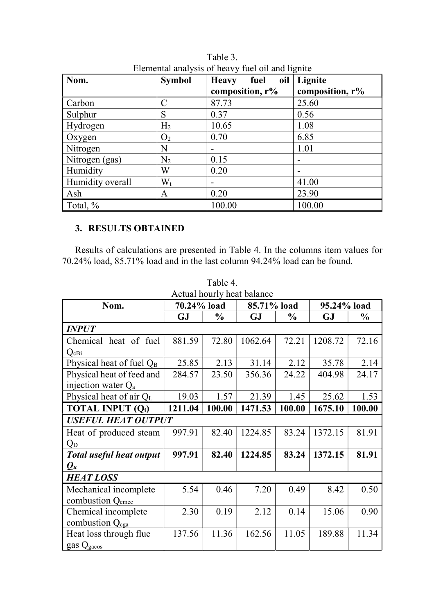| Nom.             | <b>Symbol</b>  | oil<br><b>Heavy</b><br>fuel<br>composition, r% | Lignite<br>composition, $r\%$ |
|------------------|----------------|------------------------------------------------|-------------------------------|
| Carbon           | $\mathcal{C}$  | 87.73                                          | 25.60                         |
| Sulphur          | S              | 0.37                                           | 0.56                          |
| Hydrogen         | H <sub>2</sub> | 10.65                                          | 1.08                          |
| Oxygen           | O <sub>2</sub> | 0.70                                           | 6.85                          |
| Nitrogen         | N              |                                                | 1.01                          |
| Nitrogen (gas)   | $N_2$          | 0.15                                           | $\overline{\phantom{a}}$      |
| Humidity         | W              | 0.20                                           | $\overline{\phantom{0}}$      |
| Humidity overall | $W_t$          |                                                | 41.00                         |
| Ash              | A              | 0.20                                           | 23.90                         |
| Total, %         |                | 100.00                                         | 100.00                        |

Table 3. Elemental analysis of heavy fuel oil and lignite

# **3. RESULTS OBTAINED**

Results of calculations are presented in Table 4. In the columns item values for 70.24% load, 85.71% load and in the last column 94.24% load can be found.

| Actual hourly heat balance           |             |               |             |               |             |               |  |  |  |  |
|--------------------------------------|-------------|---------------|-------------|---------------|-------------|---------------|--|--|--|--|
| Nom.                                 | 70.24% load |               | 85.71% load |               | 95.24% load |               |  |  |  |  |
|                                      | <b>GJ</b>   | $\frac{1}{2}$ | <b>GJ</b>   | $\frac{0}{0}$ | <b>GJ</b>   | $\frac{1}{2}$ |  |  |  |  |
| <b>INPUT</b>                         |             |               |             |               |             |               |  |  |  |  |
| Chemical heat of fuel                | 881.59      | 72.80         | 1062.64     | 72.21         | 1208.72     | 72.16         |  |  |  |  |
| $Q_{cBi}$                            |             |               |             |               |             |               |  |  |  |  |
| Physical heat of fuel Q <sub>B</sub> | 25.85       | 2.13          | 31.14       | 2.12          | 35.78       | 2.14          |  |  |  |  |
| Physical heat of feed and            | 284.57      | 23.50         | 356.36      | 24.22         | 404.98      | 24.17         |  |  |  |  |
| injection water $Q_a$                |             |               |             |               |             |               |  |  |  |  |
| Physical heat of air QL              | 19.03       | 1.57          | 21.39       | 1.45          | 25.62       | 1.53          |  |  |  |  |
| <b>TOTAL INPUT (Q<sub>i</sub>)</b>   | 1211.04     | 100.00        | 1471.53     | 100.00        | 1675.10     | 100.00        |  |  |  |  |
| <b>USEFUL HEAT OUTPUT</b>            |             |               |             |               |             |               |  |  |  |  |
| Heat of produced steam               | 997.91      | 82.40         | 1224.85     | 83.24         | 1372.15     | 81.91         |  |  |  |  |
| $Q_D$                                |             |               |             |               |             |               |  |  |  |  |
| <b>Total useful heat output</b>      | 997.91      | 82.40         | 1224.85     | 83.24         | 1372.15     | 81.91         |  |  |  |  |
| $Q_u$                                |             |               |             |               |             |               |  |  |  |  |
| <b>HEAT LOSS</b>                     |             |               |             |               |             |               |  |  |  |  |
| Mechanical incomplete                | 5.54        | 0.46          | 7.20        | 0.49          | 8.42        | 0.50          |  |  |  |  |
| combustion Q <sub>cmec</sub>         |             |               |             |               |             |               |  |  |  |  |
| Chemical incomplete                  | 2.30        | 0.19          | 2.12        | 0.14          | 15.06       | 0.90          |  |  |  |  |
| combustion Q <sub>cga</sub>          |             |               |             |               |             |               |  |  |  |  |
| Heat loss through flue               | 137.56      | 11.36         | 162.56      | 11.05         | 189.88      | 11.34         |  |  |  |  |
| gas Qgacos                           |             |               |             |               |             |               |  |  |  |  |

Table 4.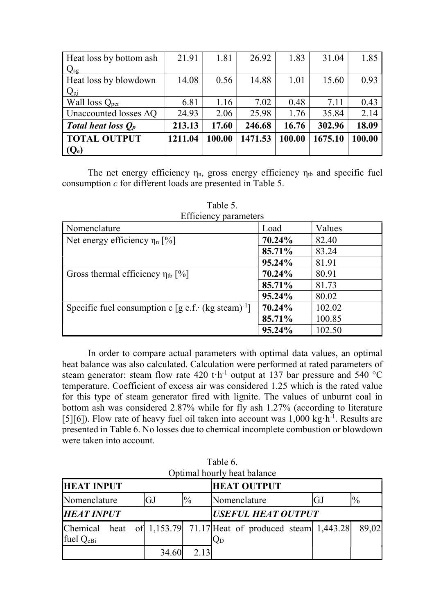| <b>TOTAL OUTPUT</b><br>$(Q_e)$ | 1211.04 | 100.00 | 1471.53 | 100.00 | 1675.10 | 100.00 |
|--------------------------------|---------|--------|---------|--------|---------|--------|
|                                |         |        |         |        |         |        |
| Total heat loss $Q_p$          | 213.13  | 17.60  | 246.68  | 16.76  | 302.96  | 18.09  |
| Unaccounted losses $\Delta$ Q  | 24.93   | 2.06   | 25.98   | 1.76   | 35.84   | 2.14   |
| Wall loss $Q_{\text{per}}$     | 6.81    | 1.16   | 7.02    | 0.48   | 7.11    | 0.43   |
| $Q_{pj}$                       |         |        |         |        |         |        |
| Heat loss by blowdown          | 14.08   | 0.56   | 14.88   | 1.01   | 15.60   | 0.93   |
| $Q_{sg}$                       |         |        |         |        |         |        |
| Heat loss by bottom ash        | 21.91   | 1.81   | 26.92   | 1.83   | 31.04   | 1.85   |

The net energy efficiency  $\eta_n$ , gross energy efficiency  $\eta_{tb}$  and specific fuel consumption *c* for different loads are presented in Table 5.

| <b>Extraordity, paramiters</b>                                   |        |        |
|------------------------------------------------------------------|--------|--------|
| Nomenclature                                                     | Load   | Values |
| Net energy efficiency $\eta_n$ [%]                               | 70.24% | 82.40  |
|                                                                  | 85.71% | 83.24  |
|                                                                  | 95.24% | 81.91  |
| Gross thermal efficiency $\eta_{tb}$ [%]                         | 70.24% | 80.91  |
|                                                                  | 85.71% | 81.73  |
|                                                                  | 95.24% | 80.02  |
| Specific fuel consumption c [g e.f. $(kg$ steam) <sup>-1</sup> ] | 70.24% | 102.02 |
|                                                                  | 85.71% | 100.85 |
|                                                                  | 95.24% | 102.50 |

Table 5. Efficiency parameters

 In order to compare actual parameters with optimal data values, an optimal heat balance was also calculated. Calculation were performed at rated parameters of steam generator: steam flow rate 420 t·h<sup>-1</sup> output at 137 bar pressure and 540 °C temperature. Coefficient of excess air was considered 1.25 which is the rated value for this type of steam generator fired with lignite. The values of unburnt coal in bottom ash was considered 2.87% while for fly ash 1.27% (according to literature [5][6]). Flow rate of heavy fuel oil taken into account was  $1,000 \text{ kg} \cdot \text{h}^{-1}$ . Results are presented in Table 6. No losses due to chemical incomplete combustion or blowdown were taken into account.

| Optimal hourly heat balance         |  |  |                           |      |                                                                   |    |                |  |  |
|-------------------------------------|--|--|---------------------------|------|-------------------------------------------------------------------|----|----------------|--|--|
| <b>HEAT INPUT</b>                   |  |  |                           |      | <b>HEAT OUTPUT</b>                                                |    |                |  |  |
| $\frac{0}{0}$<br>Nomenclature<br>GJ |  |  |                           |      | Nomenclature                                                      | GJ | $\frac{10}{6}$ |  |  |
| <b>HEAT INPUT</b>                   |  |  | <b>USEFUL HEAT OUTPUT</b> |      |                                                                   |    |                |  |  |
| Chemical<br>fuel Q <sub>cBi</sub>   |  |  |                           |      | heat of 1,153.79 71.17 Heat of produced steam $1,443.28$<br>$Q_D$ |    | 89,02          |  |  |
|                                     |  |  | 34.60                     | 2.13 |                                                                   |    |                |  |  |

Table 6.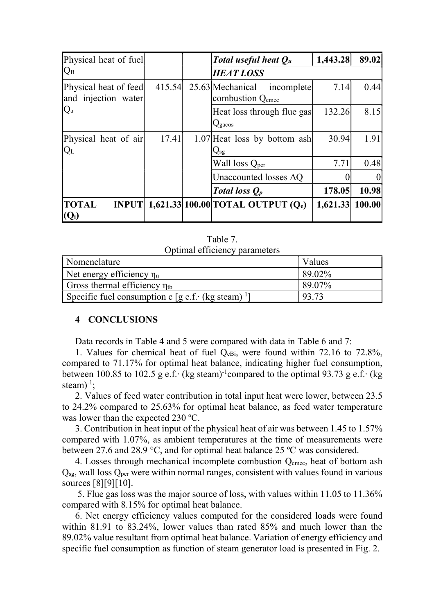| Physical heat of fuel                        |        |  | Total useful heat $Q_u$                                        | 1,443.28 | 89.02  |
|----------------------------------------------|--------|--|----------------------------------------------------------------|----------|--------|
| $ Q_{\rm B} $                                |        |  | <b>HEAT LOSS</b>                                               |          |        |
| Physical heat of feed<br>and injection water | 415.54 |  | 25.63 Mechanical<br>incomplete<br>combustion Q <sub>cmec</sub> | 7.14     | 0.44   |
| $\mathsf{IQ}_{\text{a}}$                     |        |  | Heat loss through flue gas<br>Q <sub>gacos</sub>               | 132.26   | 8.15   |
| Physical heat of air<br>IQ <sub>L</sub>      | 17.41  |  | 1.07 Heat loss by bottom ash<br>$Q_{sg}$                       | 30.94    | 1.91   |
|                                              |        |  | Wall loss Q <sub>per</sub>                                     | 7.71     | 0.48   |
|                                              |        |  | Unaccounted losses $\Delta Q$                                  |          |        |
|                                              |        |  | Total loss $Q_p$                                               | 178.05   | 10.98  |
| <b>INPUT</b><br><b>TOTAL</b><br>$(Q_i)$      |        |  | 1,621.33 100.00 TOTAL OUTPUT $(Q_e)$                           | 1,621.33 | 100.00 |

Table 7. Optimal efficiency parameters

| Nomenclature                                                   |  | Values    |
|----------------------------------------------------------------|--|-----------|
| Net energy efficiency $\eta_n$                                 |  | 89.02%    |
| Gross thermal efficiency $\eta_{tb}$                           |  | $89.07\%$ |
| Specific fuel consumption c [g e.f. (kg steam) <sup>-1</sup> ] |  | 93.73     |

## **4 CONCLUSIONS**

Data records in Table 4 and 5 were compared with data in Table 6 and 7:

1. Values for chemical heat of fuel  $Q_{cBi}$ , were found within 72.16 to 72.8%, compared to 71.17% for optimal heat balance, indicating higher fuel consumption, between 100.85 to 102.5 g e.f. $\cdot$  (kg steam)<sup>-1</sup>compared to the optimal 93.73 g e.f. $\cdot$  (kg steam $)^{-1}$ ;

2. Values of feed water contribution in total input heat were lower, between 23.5 to 24.2% compared to 25.63% for optimal heat balance, as feed water temperature was lower than the expected 230 ºC.

3. Contribution in heat input of the physical heat of air was between 1.45 to 1.57% compared with 1.07%, as ambient temperatures at the time of measurements were between 27.6 and 28.9 °C, and for optimal heat balance 25 ºC was considered.

4. Losses through mechanical incomplete combustion  $Q<sub>cmec</sub>$ , heat of bottom ash  $Q<sub>sg</sub>$ , wall loss  $Q<sub>per</sub>$  were within normal ranges, consistent with values found in various sources [8][9][10].

 5. Flue gas loss was the major source of loss, with values within 11.05 to 11.36% compared with 8.15% for optimal heat balance.

6. Net energy efficiency values computed for the considered loads were found within 81.91 to 83.24%, lower values than rated 85% and much lower than the 89.02% value resultant from optimal heat balance. Variation of energy efficiency and specific fuel consumption as function of steam generator load is presented in Fig. 2.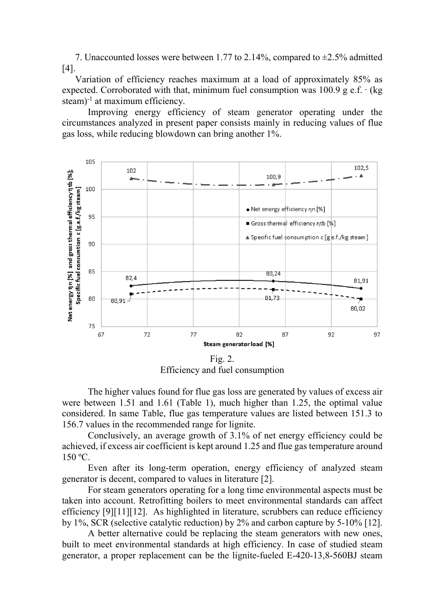7. Unaccounted losses were between 1.77 to 2.14%, compared to ±2.5% admitted [4].

Variation of efficiency reaches maximum at a load of approximately 85% as expected. Corroborated with that, minimum fuel consumption was  $100.9$  g e.f.  $\cdot$  (kg steam) $^{-1}$  at maximum efficiency.

Improving energy efficiency of steam generator operating under the circumstances analyzed in present paper consists mainly in reducing values of flue gas loss, while reducing blowdown can bring another 1%.



Fig. 2. Efficiency and fuel consumption

The higher values found for flue gas loss are generated by values of excess air were between 1.51 and 1.61 (Table 1), much higher than 1.25, the optimal value considered. In same Table, flue gas temperature values are listed between 151.3 to 156.7 values in the recommended range for lignite.

Conclusively, an average growth of 3.1% of net energy efficiency could be achieved, if excess air coefficient is kept around 1.25 and flue gas temperature around 150 ºC.

Even after its long-term operation, energy efficiency of analyzed steam generator is decent, compared to values in literature [2].

For steam generators operating for a long time environmental aspects must be taken into account. Retrofitting boilers to meet environmental standards can affect efficiency [9][11][12]. As highlighted in literature, scrubbers can reduce efficiency by 1%, SCR (selective catalytic reduction) by 2% and carbon capture by 5-10% [12].

A better alternative could be replacing the steam generators with new ones, built to meet environmental standards at high efficiency. In case of studied steam generator, a proper replacement can be the lignite-fueled E-420-13,8-560BJ steam